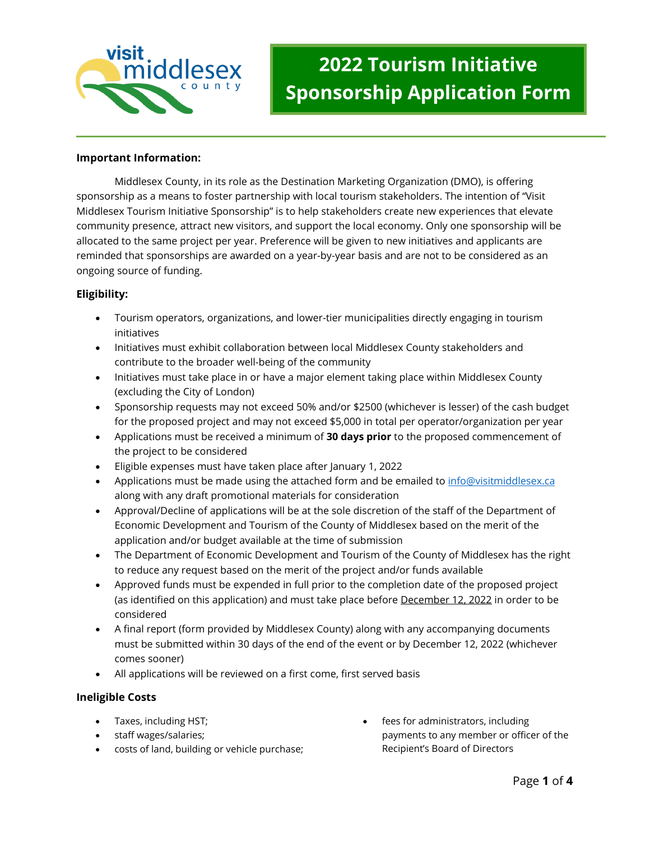

## **Important Information:**

Middlesex County, in its role as the Destination Marketing Organization (DMO), is offering sponsorship as a means to foster partnership with local tourism stakeholders. The intention of "Visit Middlesex Tourism Initiative Sponsorship" is to help stakeholders create new experiences that elevate community presence, attract new visitors, and support the local economy. Only one sponsorship will be allocated to the same project per year. Preference will be given to new initiatives and applicants are reminded that sponsorships are awarded on a year-by-year basis and are not to be considered as an ongoing source of funding.

## **Eligibility:**

- Tourism operators, organizations, and lower-tier municipalities directly engaging in tourism initiatives
- Initiatives must exhibit collaboration between local Middlesex County stakeholders and contribute to the broader well-being of the community
- Initiatives must take place in or have a major element taking place within Middlesex County (excluding the City of London)
- Sponsorship requests may not exceed 50% and/or \$2500 (whichever is lesser) of the cash budget for the proposed project and may not exceed \$5,000 in total per operator/organization per year
- Applications must be received a minimum of **30 days prior** to the proposed commencement of the project to be considered
- Eligible expenses must have taken place after January 1, 2022
- Applications must be made using the attached form and be emailed to [info@visitmiddlesex.ca](mailto:info@visitmiddlesex.ca) along with any draft promotional materials for consideration
- Approval/Decline of applications will be at the sole discretion of the staff of the Department of Economic Development and Tourism of the County of Middlesex based on the merit of the application and/or budget available at the time of submission
- The Department of Economic Development and Tourism of the County of Middlesex has the right to reduce any request based on the merit of the project and/or funds available
- Approved funds must be expended in full prior to the completion date of the proposed project (as identified on this application) and must take place before December 12, 2022 in order to be considered
- A final report (form provided by Middlesex County) along with any accompanying documents must be submitted within 30 days of the end of the event or by December 12, 2022 (whichever comes sooner)
- All applications will be reviewed on a first come, first served basis

## **Ineligible Costs**

- Taxes, including HST;
- staff wages/salaries;
- costs of land, building or vehicle purchase;
- fees for administrators, including payments to any member or officer of the Recipient's Board of Directors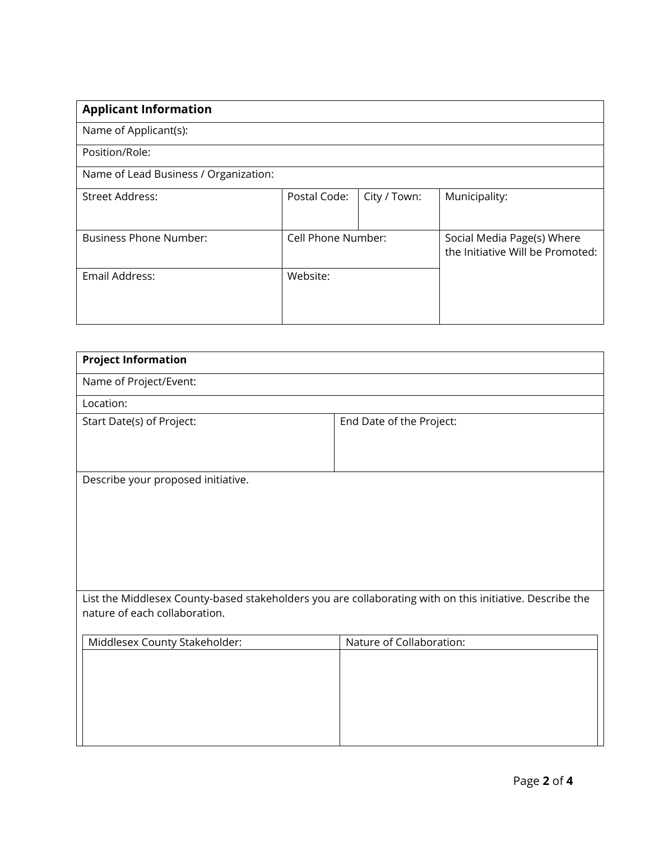| <b>Applicant Information</b>          |                    |              |                                                                |  |  |  |
|---------------------------------------|--------------------|--------------|----------------------------------------------------------------|--|--|--|
| Name of Applicant(s):                 |                    |              |                                                                |  |  |  |
| Position/Role:                        |                    |              |                                                                |  |  |  |
| Name of Lead Business / Organization: |                    |              |                                                                |  |  |  |
| <b>Street Address:</b>                | Postal Code:       | City / Town: | Municipality:                                                  |  |  |  |
| <b>Business Phone Number:</b>         | Cell Phone Number: |              | Social Media Page(s) Where<br>the Initiative Will be Promoted: |  |  |  |
| Email Address:                        | Website:           |              |                                                                |  |  |  |

| <b>Project Information</b>                                                                               |                          |  |  |  |
|----------------------------------------------------------------------------------------------------------|--------------------------|--|--|--|
| Name of Project/Event:                                                                                   |                          |  |  |  |
| Location:                                                                                                |                          |  |  |  |
| Start Date(s) of Project:                                                                                | End Date of the Project: |  |  |  |
|                                                                                                          |                          |  |  |  |
| Describe your proposed initiative.                                                                       |                          |  |  |  |
|                                                                                                          |                          |  |  |  |
|                                                                                                          |                          |  |  |  |
|                                                                                                          |                          |  |  |  |
|                                                                                                          |                          |  |  |  |
|                                                                                                          |                          |  |  |  |
| List the Middlesex County-based stakeholders you are collaborating with on this initiative. Describe the |                          |  |  |  |
| nature of each collaboration.                                                                            |                          |  |  |  |
| Middlesex County Stakeholder:                                                                            | Nature of Collaboration: |  |  |  |
|                                                                                                          |                          |  |  |  |
|                                                                                                          |                          |  |  |  |
|                                                                                                          |                          |  |  |  |
|                                                                                                          |                          |  |  |  |
|                                                                                                          |                          |  |  |  |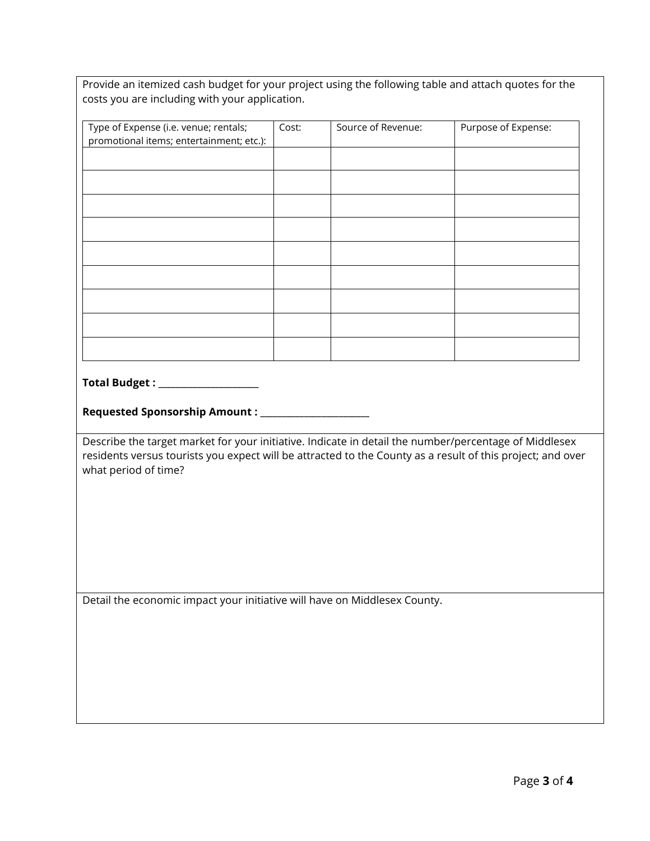| Provide an itemized cash budget for your project using the following table and attach quotes for the |
|------------------------------------------------------------------------------------------------------|
| costs you are including with your application.                                                       |

| Type of Expense (i.e. venue; rentals;                                                                      | Cost: | Source of Revenue: | Purpose of Expense: |  |  |  |
|------------------------------------------------------------------------------------------------------------|-------|--------------------|---------------------|--|--|--|
| promotional items; entertainment; etc.):                                                                   |       |                    |                     |  |  |  |
|                                                                                                            |       |                    |                     |  |  |  |
|                                                                                                            |       |                    |                     |  |  |  |
|                                                                                                            |       |                    |                     |  |  |  |
|                                                                                                            |       |                    |                     |  |  |  |
|                                                                                                            |       |                    |                     |  |  |  |
|                                                                                                            |       |                    |                     |  |  |  |
|                                                                                                            |       |                    |                     |  |  |  |
|                                                                                                            |       |                    |                     |  |  |  |
|                                                                                                            |       |                    |                     |  |  |  |
|                                                                                                            |       |                    |                     |  |  |  |
|                                                                                                            |       |                    |                     |  |  |  |
|                                                                                                            |       |                    |                     |  |  |  |
|                                                                                                            |       |                    |                     |  |  |  |
|                                                                                                            |       |                    |                     |  |  |  |
|                                                                                                            |       |                    |                     |  |  |  |
|                                                                                                            |       |                    |                     |  |  |  |
|                                                                                                            |       |                    |                     |  |  |  |
| Total Budget : _____________________                                                                       |       |                    |                     |  |  |  |
|                                                                                                            |       |                    |                     |  |  |  |
|                                                                                                            |       |                    |                     |  |  |  |
|                                                                                                            |       |                    |                     |  |  |  |
| Describe the target market for your initiative. Indicate in detail the number/percentage of Middlesex      |       |                    |                     |  |  |  |
|                                                                                                            |       |                    |                     |  |  |  |
|                                                                                                            |       |                    |                     |  |  |  |
| residents versus tourists you expect will be attracted to the County as a result of this project; and over |       |                    |                     |  |  |  |
| what period of time?                                                                                       |       |                    |                     |  |  |  |
|                                                                                                            |       |                    |                     |  |  |  |
|                                                                                                            |       |                    |                     |  |  |  |
|                                                                                                            |       |                    |                     |  |  |  |
|                                                                                                            |       |                    |                     |  |  |  |
|                                                                                                            |       |                    |                     |  |  |  |
|                                                                                                            |       |                    |                     |  |  |  |
|                                                                                                            |       |                    |                     |  |  |  |
|                                                                                                            |       |                    |                     |  |  |  |
| Detail the economic impact your initiative will have on Middlesex County.                                  |       |                    |                     |  |  |  |
|                                                                                                            |       |                    |                     |  |  |  |
|                                                                                                            |       |                    |                     |  |  |  |
|                                                                                                            |       |                    |                     |  |  |  |
|                                                                                                            |       |                    |                     |  |  |  |
|                                                                                                            |       |                    |                     |  |  |  |
|                                                                                                            |       |                    |                     |  |  |  |
|                                                                                                            |       |                    |                     |  |  |  |
|                                                                                                            |       |                    |                     |  |  |  |